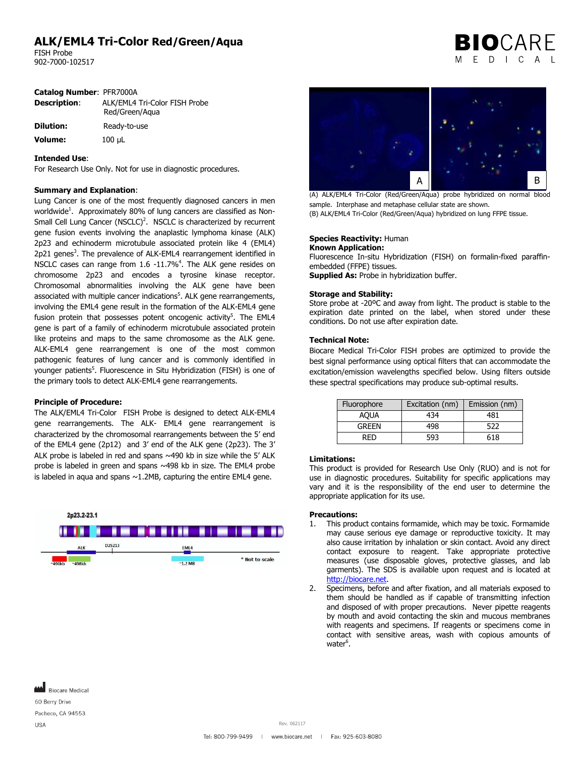## **ALK/EML4 Tri-Color Red/Green/Aqua**

FISH Probe 902-7000-102517

|  | <b>BIO</b> CARE |  |  |
|--|-----------------|--|--|
|  | MEDICAL         |  |  |

| Description:     | ALK/EML4 Tri-Color FISH Probe<br>Red/Green/Aqua |  |  |
|------------------|-------------------------------------------------|--|--|
| <b>Dilution:</b> | Ready-to-use                                    |  |  |
| <b>Volume:</b>   | $100 \mu L$                                     |  |  |

#### **Intended Use**:

For Research Use Only. Not for use in diagnostic procedures.

#### **Summary and Explanation**:

Lung Cancer is one of the most frequently diagnosed cancers in men worldwide<sup>1</sup>. Approximately 80% of lung cancers are classified as Non-Small Cell Lung Cancer (NSCLC)<sup>2</sup>. NSCLC is characterized by recurrent gene fusion events involving the anaplastic lymphoma kinase (ALK) 2p23 and echinoderm microtubule associated protein like 4 (EML4) 2p21 genes<sup>3</sup>. The prevalence of ALK-EML4 rearrangement identified in NSCLC cases can range from 1.6 -11.7%<sup>4</sup>. The ALK gene resides on chromosome 2p23 and encodes a tyrosine kinase receptor. Chromosomal abnormalities involving the ALK gene have been associated with multiple cancer indications<sup>5</sup>. ALK gene rearrangements, involving the EML4 gene result in the formation of the ALK-EML4 gene fusion protein that possesses potent oncogenic activity<sup>5</sup>. The EML4 gene is part of a family of echinoderm microtubule associated protein like proteins and maps to the same chromosome as the ALK gene. ALK-EML4 gene rearrangement is one of the most common pathogenic features of lung cancer and is commonly identified in younger patients<sup>5</sup>. Fluorescence in Situ Hybridization (FISH) is one of the primary tools to detect ALK-EML4 gene rearrangements.

#### **Principle of Procedure:**

The ALK/EML4 Tri-Color FISH Probe is designed to detect ALK-EML4 gene rearrangements. The ALK- EML4 gene rearrangement is characterized by the chromosomal rearrangements between the 5' end of the EML4 gene (2p12) and 3' end of the ALK gene (2p23). The 3' ALK probe is labeled in red and spans  $\sim$ 490 kb in size while the 5' ALK probe is labeled in green and spans ~498 kb in size. The EML4 probe is labeled in aqua and spans  $\sim$  1.2MB, capturing the entire EML4 gene.





(A) ALK/EML4 Tri-Color (Red/Green/Aqua) probe hybridized on normal blood sample. Interphase and metaphase cellular state are shown. (B) ALK/EML4 Tri-Color (Red/Green/Aqua) hybridized on lung FFPE tissue.

### **Species Reactivity:** Human

**Known Application:**  Fluorescence In-situ Hybridization (FISH) on formalin-fixed paraffinembedded (FFPE) tissues. **Supplied As:** Probe in hybridization buffer.

#### **Storage and Stability:**

Store probe at -20ºC and away from light. The product is stable to the expiration date printed on the label, when stored under these conditions. Do not use after expiration date.

#### **Technical Note:**

Biocare Medical Tri-Color FISH probes are optimized to provide the best signal performance using optical filters that can accommodate the excitation/emission wavelengths specified below. Using filters outside these spectral specifications may produce sub-optimal results.

| Fluorophore  | Excitation (nm) | Emission (nm) |
|--------------|-----------------|---------------|
| AOUA         | 434             | 481           |
| <b>GREEN</b> | 498             | 522           |
| RFD          | 593             | 618           |

#### **Limitations:**

This product is provided for Research Use Only (RUO) and is not for use in diagnostic procedures. Suitability for specific applications may vary and it is the responsibility of the end user to determine the appropriate application for its use.

#### **Precautions:**

- 1. This product contains formamide, which may be toxic. Formamide may cause serious eye damage or reproductive toxicity. It may also cause irritation by inhalation or skin contact. Avoid any direct contact exposure to reagent. Take appropriate protective measures (use disposable gloves, protective glasses, and lab garments). The SDS is available upon request and is located at [http://biocare.net.](http://biocare.net/)
- 2. Specimens, before and after fixation, and all materials exposed to them should be handled as if capable of transmitting infection and disposed of with proper precautions. Never pipette reagents by mouth and avoid contacting the skin and mucous membranes with reagents and specimens. If reagents or specimens come in contact with sensitive areas, wash with copious amounts of water<sup>6</sup>.